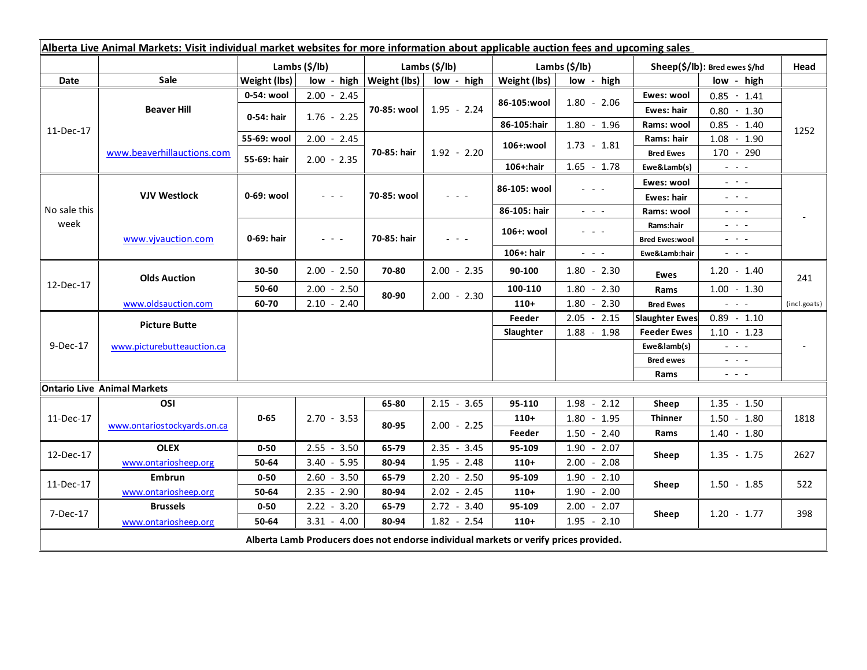| Alberta Live Animal Markets: Visit individual market websites for more information about applicable auction fees and upcoming sales |                                    |                        |                                                                                                                           |                              |                 |                           |                                                                                                                           |                                     |                                                                                                                           |              |
|-------------------------------------------------------------------------------------------------------------------------------------|------------------------------------|------------------------|---------------------------------------------------------------------------------------------------------------------------|------------------------------|-----------------|---------------------------|---------------------------------------------------------------------------------------------------------------------------|-------------------------------------|---------------------------------------------------------------------------------------------------------------------------|--------------|
|                                                                                                                                     |                                    | Lambs $(\frac{5}{lb})$ |                                                                                                                           | Lambs $(S/lb)$               |                 | Lambs $(\frac{2}{3})$ lb) |                                                                                                                           | Sheep(\$/lb): Bred ewes \$/hd       |                                                                                                                           | Head         |
| Date                                                                                                                                | <b>Sale</b>                        | Weight (lbs)           |                                                                                                                           | $low - high   Weight (lbs) $ | low - high      | Weight (lbs)              | low - high                                                                                                                |                                     | low - high                                                                                                                |              |
| 11-Dec-17                                                                                                                           | <b>Beaver Hill</b>                 | 0-54: wool             | $2.00 - 2.45$                                                                                                             | 70-85: wool                  | $1.95 - 2.24$   |                           | $1.80 - 2.06$                                                                                                             | Ewes: wool                          | $0.85 - 1.41$                                                                                                             | 1252         |
|                                                                                                                                     |                                    | 0-54: hair             | $1.76 - 2.25$                                                                                                             |                              |                 | 86-105:wool               |                                                                                                                           | <b>Ewes: hair</b>                   | $0.80 - 1.30$                                                                                                             |              |
|                                                                                                                                     |                                    |                        |                                                                                                                           |                              |                 | 86-105:hair               | $1.80 - 1.96$                                                                                                             | Rams: wool                          | $0.85 - 1.40$                                                                                                             |              |
|                                                                                                                                     | www.beaverhillauctions.com         | 55-69: wool            | $2.00 - 2.45$                                                                                                             | 70-85: hair                  | $1.92 - 2.20$   | 106+:wool                 | $1.73 - 1.81$                                                                                                             | Rams: hair                          | $1.08 - 1.90$                                                                                                             |              |
|                                                                                                                                     |                                    | 55-69: hair            | $2.00 - 2.35$                                                                                                             |                              |                 |                           |                                                                                                                           | <b>Bred Ewes</b>                    | $170 - 290$                                                                                                               |              |
|                                                                                                                                     |                                    |                        |                                                                                                                           |                              |                 | 106+:hair                 | $1.65 - 1.78$                                                                                                             | Ewe&Lamb(s)                         | $\frac{1}{2} \left( \frac{1}{2} \right) \left( \frac{1}{2} \right) \left( \frac{1}{2} \right)$                            |              |
| No sale this<br>week                                                                                                                | <b>VJV Westlock</b>                | 0-69: wool             | $\frac{1}{2} \left( \frac{1}{2} \right) \left( \frac{1}{2} \right) \left( \frac{1}{2} \right) \left( \frac{1}{2} \right)$ | 70-85: wool                  |                 | 86-105: wool              | 2020a                                                                                                                     | Ewes: wool                          | $\frac{1}{2} \left( \frac{1}{2} \right) = \frac{1}{2} \left( \frac{1}{2} \right)$                                         |              |
|                                                                                                                                     |                                    |                        |                                                                                                                           |                              |                 |                           |                                                                                                                           | <b>Ewes: hair</b>                   | $\frac{1}{2} \left( \frac{1}{2} \right) = \frac{1}{2} \left( \frac{1}{2} \right)$                                         |              |
|                                                                                                                                     |                                    |                        |                                                                                                                           |                              |                 | 86-105: hair              | $\frac{1}{2} \left( \frac{1}{2} \right) \left( \frac{1}{2} \right) \left( \frac{1}{2} \right) \left( \frac{1}{2} \right)$ | Rams: wool                          | $  -$                                                                                                                     |              |
|                                                                                                                                     | www.vivauction.com                 | 0-69: hair             | $\frac{1}{2} \left( \frac{1}{2} \right) = \frac{1}{2} \left( \frac{1}{2} \right)$                                         | 70-85: hair                  | $  -$           | 106+: wool                | - - -                                                                                                                     | Rams:hair                           | $\frac{1}{2} \left( \frac{1}{2} \right) = \frac{1}{2} \left( \frac{1}{2} \right) = \frac{1}{2}$                           |              |
|                                                                                                                                     |                                    |                        |                                                                                                                           |                              |                 |                           |                                                                                                                           | <b>Bred Ewes:wool</b>               | $\frac{1}{2} \left( \frac{1}{2} \right) = \frac{1}{2} \left( \frac{1}{2} \right)$                                         |              |
|                                                                                                                                     |                                    |                        |                                                                                                                           |                              |                 | 106+: hair                | $\omega_{\rm{eff}}$ and $\omega_{\rm{eff}}$                                                                               | Ewe&Lamb:hair                       | $\frac{1}{2} \left( \frac{1}{2} \right) \left( \frac{1}{2} \right) \left( \frac{1}{2} \right) \left( \frac{1}{2} \right)$ |              |
| 12-Dec-17                                                                                                                           | <b>Olds Auction</b>                | 30-50                  | $2.00 - 2.50$                                                                                                             | 70-80                        | $2.00 - 2.35$   | 90-100                    | $1.80 - 2.30$                                                                                                             | Ewes                                | $1.20 - 1.40$                                                                                                             | 241          |
|                                                                                                                                     |                                    | 50-60                  | $2.00 - 2.50$                                                                                                             | 80-90                        | $2.00 - 2.30$   | 100-110                   | $1.80 - 2.30$                                                                                                             | Rams                                | $1.00 - 1.30$                                                                                                             |              |
|                                                                                                                                     | www.oldsauction.com                | 60-70                  | $2.10 - 2.40$                                                                                                             |                              |                 | $110+$                    | $1.80 - 2.30$                                                                                                             | <b>Bred Ewes</b>                    | $\omega_{\rm{eff}}$ , $\omega_{\rm{eff}}$ , $\omega_{\rm{eff}}$                                                           | (incl.goats) |
| 9-Dec-17                                                                                                                            | <b>Picture Butte</b>               |                        |                                                                                                                           |                              |                 | Feeder                    | $2.05 - 2.15$                                                                                                             | <b>Slaughter Ewes</b>               | $0.89 - 1.10$                                                                                                             |              |
|                                                                                                                                     | www.picturebutteauction.ca         |                        |                                                                                                                           |                              |                 | Slaughter                 | $1.88 - 1.98$                                                                                                             | <b>Feeder Ewes</b><br>$1.10 - 1.23$ |                                                                                                                           |              |
|                                                                                                                                     |                                    |                        |                                                                                                                           |                              |                 |                           |                                                                                                                           | Ewe&lamb(s)                         | $\mathbb{L}^2 \times \mathbb{L}^2$                                                                                        |              |
|                                                                                                                                     |                                    |                        |                                                                                                                           |                              |                 |                           |                                                                                                                           | <b>Bred ewes</b>                    | $\omega_{\rm c}$ , $\omega_{\rm c}$ , $\omega_{\rm c}$                                                                    |              |
|                                                                                                                                     |                                    |                        |                                                                                                                           |                              |                 |                           |                                                                                                                           | Rams                                | $\frac{1}{2} \left( \frac{1}{2} \right) \frac{1}{2} \left( \frac{1}{2} \right) \frac{1}{2} \left( \frac{1}{2} \right)$    |              |
|                                                                                                                                     | <b>Ontario Live Animal Markets</b> |                        |                                                                                                                           |                              |                 |                           |                                                                                                                           |                                     |                                                                                                                           |              |
| 11-Dec-17                                                                                                                           | OSI                                | $0 - 65$               | $2.70 - 3.53$                                                                                                             | 65-80                        | $2.15 - 3.65$   | 95-110                    | $1.98 - 2.12$                                                                                                             | Sheep                               | $1.35 - 1.50$                                                                                                             | 1818         |
|                                                                                                                                     | www.ontariostockyards.on.ca        |                        |                                                                                                                           | 80-95                        | $2.00 - 2.25$   | $110+$                    | $1.80 - 1.95$                                                                                                             | <b>Thinner</b><br>Rams              | $1.50 - 1.80$                                                                                                             |              |
|                                                                                                                                     |                                    |                        |                                                                                                                           |                              |                 | Feeder                    | $1.50 - 2.40$                                                                                                             |                                     | $1.40 - 1.80$                                                                                                             |              |
| 12-Dec-17                                                                                                                           | <b>OLEX</b>                        | $0 - 50$               | $2.55 - 3.50$                                                                                                             | 65-79                        | $2.35 - 3.45$   | 95-109                    | $1.90 - 2.07$                                                                                                             | Sheep                               | $1.35 - 1.75$                                                                                                             | 2627         |
|                                                                                                                                     | www.ontariosheep.org               | 50-64                  | $3.40 - 5.95$                                                                                                             | 80-94                        | 1.95<br>$-2.48$ | $110+$                    | 2.00<br>$-2.08$                                                                                                           |                                     |                                                                                                                           |              |
| 11-Dec-17                                                                                                                           | Embrun                             | $0 - 50$               | $2.60 - 3.50$                                                                                                             | 65-79                        | $2.20 - 2.50$   | 95-109                    | $1.90 - 2.10$                                                                                                             | Sheep                               | $1.50 - 1.85$                                                                                                             | 522          |
|                                                                                                                                     | www.ontariosheep.org               | 50-64                  | $2.35 - 2.90$                                                                                                             | 80-94                        | $2.02 - 2.45$   | $110+$                    | $1.90 - 2.00$                                                                                                             |                                     |                                                                                                                           |              |
| 7-Dec-17                                                                                                                            | <b>Brussels</b>                    | $0 - 50$               | $2.22 - 3.20$                                                                                                             | 65-79                        | $2.72 - 3.40$   | 95-109                    | 2.00<br>$-2.07$                                                                                                           | Sheep                               | $1.20 - 1.77$                                                                                                             | 398          |
|                                                                                                                                     | www.ontariosheep.org               | 50-64                  | $3.31 - 4.00$                                                                                                             | 80-94                        | $1.82 - 2.54$   | $110+$                    | $1.95 - 2.10$                                                                                                             |                                     |                                                                                                                           |              |
| Alberta Lamb Producers does not endorse individual markets or verify prices provided.                                               |                                    |                        |                                                                                                                           |                              |                 |                           |                                                                                                                           |                                     |                                                                                                                           |              |